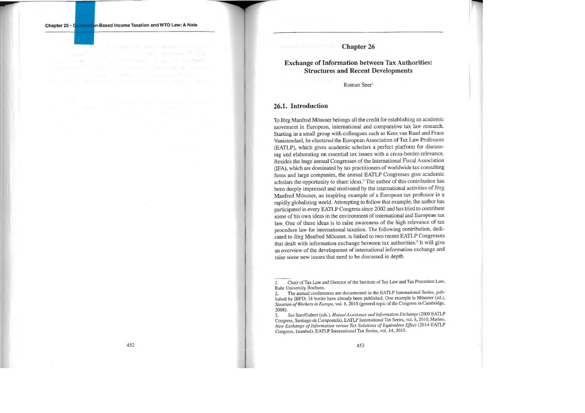#### **Chapter 26**

### **Exchange of Information between Tax Authorities: Structures and Recent Developments**

Roman Seer<sup>1</sup>

#### **26.1. Introduction**

To Jörg Manfred Mössner belongs all the cred it for establishi ng an academic movement in European, international and comparative tax law research. Starting in a small group witb colleagues such as Kees van Raad and Frans Vanistendael, he chartered the European Association of Tax Law Professors (EATLP), which gives academic scholars a perfect platform for discuss ing and elaborating on essential tax issues with a cross-border-relevance. Besides the huge annual Congresses of the International F iscal Association (IFA), wh ich are dominated by tax practitioners of worldwide tax con sulting firms and large companies, the annual EATLP Congresses give academic scholars the opportunity to share ideas.<sup>2</sup> The author of this contribution has been deeply impressed and motivated by the international activities of Jörg Manfred Mössner, an inspiring example of a European tax professor in a rapidly globalizing world. Attempting to follow that example, the author has participated in every EATLP Co ngress since 2002 and has tried to contribute so me of his own ideas in the environment of international and European tax law. One of these ideas is to raise awareness of the high relevance of tax procedure law for international taxat i on. The following contribution, dedicated to Jörg Manfred Mössner, is linked to two recent EATLP Congresses that dealt with information exchange between tax authorities.<sup>3</sup> It will give an overv iew of the deve lopment of international information exchange and raise some new issues that need to be discussed in depth.

**Chapter 25**  - **n-Based lncome Taxation and WTO Law: A Note** 

<sup>1.</sup> Chair of Tax Law and Director of the Institute of Tax Law and Tax Procedure Law, Ruhr Univers ity Bochum.

<sup>2.</sup> The annual conferences are documented in the EATLP International Series, published by IBFD; 14 books have already been published. One example is Mössner (ed.), Taxation of Workers in Europe, vol. 6, 2010 (general topic of the Congress in Cambridge, 2008).

<sup>3.</sup> See Seer/Gabert (eds.), *Mutual Assistance and Information Exchange* (2009 EATLP) Congress, Santiago de Compostela), EATLP International Tax Series, vol. 8, 2010; Marino, New Exchange of Information versus Tax Solutions of Equivalent Effect (2014 EATLP Congress, Istanbu l), EATLP International Tax Series, vol. 14, 2015.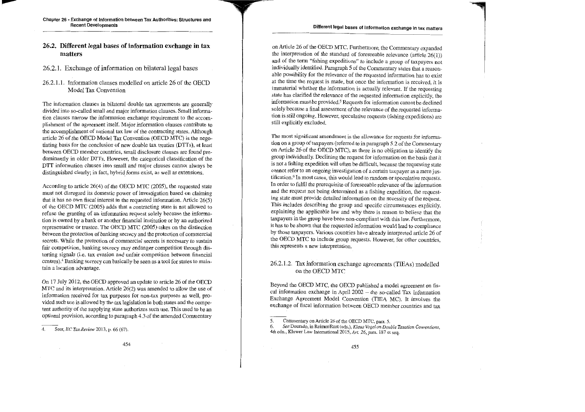### **26.2. Different legal bases of information exchange in tax matters**

26.2.1. Exchange of information on bilateral legal bases

#### 26.2.1.1. Information clauses modelled on article 26 of the OECD Model Tax Convention

The information clauses in bilateral double tax agreements are generally divided into so-called small and major information clauses. Small information clauses narrow the information exchange requirement to the accomplishment of the agreement itself. Major information clauses contribute to the accomplishment of national tax law of the contracting states. Although article 26 of the OECD Model Tax Convention (OECD MTC) is the negotiating basis for the conclusion of new double tax treaties (DTTs ), at least between OECD member countries, small disclosure clauses are found predominantly in older DTTs. However, the categorical classification of the DTT information clauses into small and major clauses cannot always be distinguished clearly; in fact, hybrid forms exist, as well as extensions.

According to article  $26(4)$  of the OECD MTC (2005), the requested state must not disregard its domestic power of investigation based an claiming that it has no own fiscal interest in the requested information. Article 26(5) of the OECD MTC (2005) adds that a contracting state is not allowed to refuse the granting of an information request solely because the information is owned by a bank or another financial institution or by an authorized representative or trustee. The OECD MTC (2005) takes on the distinction between the protection of banking secrecy and the protection of commercial secrets. While the protection of commercial secrets is necessary to sustain fair competition, banking secrecy may endanger competition through distorting signals (i.e. tax evasion and unfair competition between financial centres).4 Banking secrecy can basically be seen as a tool for states to maintain a location advantage.

On 17 July 2012, the OECD approved an update to article 26 of the OECD MTC and its interpretation. Article 26(2) was amended to allow the use of information received for tax purposes for non-lax purposes as well, provided such use is allowed by the tax legislation in both states and the competent authority of the supplying state authorizes such use. This used to be an optional provision, according to paragraph 4.3 of the arnended Commentary

on Article 26 of the OECD MTC. Furthermore, the Commentary expanded the interpretation of the standard of foreseeable relevance (article  $26(1)$ ) and of the term "fisbing expeditions" to include a group of taxpayers not individually identified. Paragraph 5 of the Commentary states that a reasonable possibility for the relevance of the requested information has to exist at the time the request is made, but once the information is received, it is immaterial whether the information is actually relevant. If the requesting state has clarified the relevance of the requested information explicitly, the information must be provided.<sup>5</sup> Requests for information cannot be declined solely because a final assessment of the relevance of the requested infonnation is still ongoing. However, speculative requests (fishing expeditions) are still explicitly excluded.

The most significant amendment is the allowance for requests for information on a group of taxpayers (referred to in paragraph 5.2 of the Commentary on Article 26 of the OECD MTC), as there is no obligation to identify the group individually. Declining the request for information on the basis that it is not a fishing expedition will often be difficult, because the requesting state cannot refer to an ongoing investigation of a certain taxpayer as a mere justification.<sup>6</sup> In most cases, this would lead to random or speculative requests. In order to fulfil the prerequisite of foreseeable relevance of the information and the request not being determined as a fishing expedition, the requesting state must provide detailed information on the necessity of the request. This includes dcscribing the group and specific circumstances explicitly, explaining the applicable law and why there is reason to believe that the taxpayers in the group have been non-compliant with this law. Furthermorc, it has tobe shown that the requested information would lead to compliance by those taxpayers. Various countries have already interpreted article 26 of the OECD MTC to include group requests. However, for other countries, this represents a new interpretation.

#### 26.2.1.2. Tax information exchange agreements (TIEAs) modelled on the OECD MTC

Beyond the OECD MTC, the OECD published a model agreement on fiscal information exchange in April 2002 - the so-called Tax Infonnation Exchange Agreement Model Convention (TIEA MC). lt involves the exchange of fiscal information between OECD member countries and tax

<sup>4.</sup> Seer, *EC Tax Review* 2013, p. 66 (67).

<sup>5.</sup> Commentary on Article 26 of the OECD MTC, para. 5.<br>6. See Dourado. in Reimer/Rust (eds.). Klaus Vogel on Dou

<sup>6.</sup> *See* Dourado, in Reimer/Rust (eds.), *Klaus Vogel an Double Taxation Conventions,*  4th edn., Kluwer Law International 2015, Art. 26, para. 187 et seq.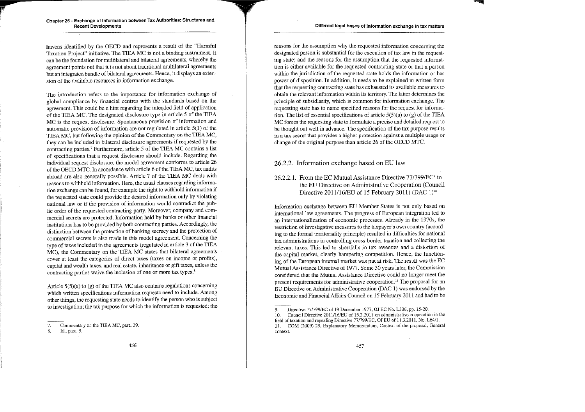havens identified by the OECD and represents a result of the "Harmful Taxation Project" initiative. The TIEA MC is not a binding instrument. It can be the foundation for multilateral and bilateral agreements, whereby the agreement points out that it is not abont traditional multilateral agreements but an integrated bundle of bilateral agreements. Hence, it displays an exten**sion of the avail.able resources in information exchange.** 

**The introduction refers to the importance for information exchange of**  global compliance by financial centres with the standards based on the agreement. This could be a hint regarding the intended field of application of the TIEA MC. The designated disclosure type in article 5 of the TIEA **MC is the request disclosure. Spontaneous provision of information and**  automatic provision of information are not regulated in article 5(1) of the TIEA MC, but following the opinion of the Commentary on the TIEA MC, they can be included in bilateral disclosure agreements if requested by the contracting parties.<sup>7</sup> Furthermore, article 5 of the TIEA MC contains a list of specifications that a request dlsclosure should include. Regarding the individual request disclosure, the model agreement conforms to article 26 of the OECD MTC. In accordance with article 6 of the TIEA MC, tax audits abroad are also generally possible. Article 7 of the TIEA MC deals with **reasons to withhold information. Here, the usuaJ clauses regarding informa**tion exchange can be found, for example the right to withhold information if the requested state could provide the desired information only by violating national law or if the provision of information would contradict the public order of the requested contracting party. Moreover, company and commercial secrets are protected. Information held by banks or other financial institutions has tobe provided by both contracting parties. Accordingly, the distinction between the protection of banking secrecy and the protection of **commercial secrets is also made in this model agreement. Concerning the**  type of taxes included in the agreements (regulated in article 3 of the TIEA MC), the Commentary on the TIEA MC states that bilateral agreements cover at least the categories of direct taxes (taxes on income or profits), capital and wealth taxes, and real estate, inheritance or gift taxes, unless the **contracting parties waive the inclusion of one or more tax types.<sup>8</sup>**

Article  $5(5)(a)$  to  $(g)$  of the TIEA MC also contains regulations concerning which written specifications information requests need to include. Among other things, the requesting state needs to identify the person who is subject to investigation; the tax purpose for which the information is requested; the

**reasons for the assumption why the requested infonnation concerning the**  designated person is substantial for the execution of tax law in the requesting state; and the reasons for the assumption that the requested informa**tion is either available for the requested contracting state or that a person within the jurisdiction of the requested state holds the information or has**  power of disposition. In addition, it needs to be explained in written form that the requesting contracting state has exhausted its available measures to obtain the relevant information within its territory. The latter determines the principle of subsidiarity, which is common for information exchange. The requesting state has to name specified reasons for the request for information. The list of essential specifications of article  $5(5)(a)$  to (g) of the TIEA MC forces the requesting state to formulate a precise and detailed request to be thought out weil in advance. The specification of the tax purpose results **in a tax secret that provides a higher protection against a multiple usage or**  change of the original purpose than article 26 of the OECD MTC.

#### 26.2.2. Information exchange based on EU law

#### 26.2.2.1. From the EC Mutual Assistance Directive  $77/799/EC<sup>9</sup>$  to the EU Directive on Administrative Cooperation (Council Directive 2011/16/EU of 15 February 2011) (DAC  $1$ )<sup>10</sup>

Information excbange between EU Member States is not only based on **international law agreements. The progress of European integration led to an internationalization of economic processes. Al.ready in the 1970s, the restriction of investigative measures to the taxpayer's own country (accord**ing to the formal territoriality principle) resulted in difficulties for national **tax administrations in controlling cross-border taxation and collecting the relevant taxes. This led to shortfalls in tax revenues and a distortion of**  the capital market, clearly harnpeiing competition. Hence, the functioning of the European internal market was put at risk. The result was the EC Mutual Assistance Directive of 1977. Some 30 years later, the Commission considered that the Mutual Assistance Directive could no longer meet the present requirements for administrative cooperation.<sup>11</sup> The proposal for an EU Directive onAdministrative Cooperation (DAC 1) was endorsed by the Economic and Financial Affairs Council on 15 February 2011 and had to be

**<sup>7.</sup> Commentary on the TIEA MC, para. 39.** 

<sup>8.</sup> ld., para. 9.

<sup>9.</sup> Directive 77/799/EC of 19 December 1977, OJ EC No. L336, pp. 15-20.

**<sup>10.</sup> Council Direct:ive 2011/16/EU of 15.2.2011 on administrative cooperation in the field of taxation and repealing Directive 77/799/EC, OJ EU of 11.3.2011, No. L64/1. 11. COM (2009) 29, Explanatory Memorandum, Context of the proposal, General context.**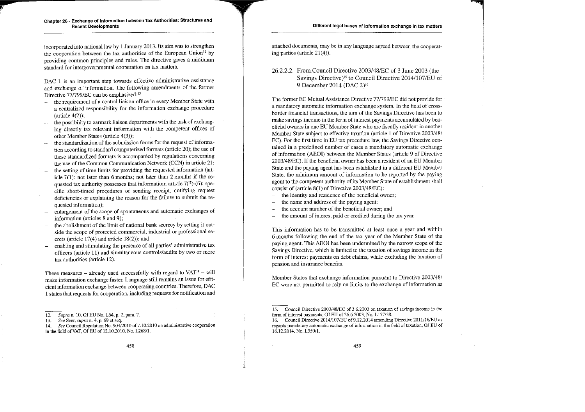incorporated into national law by 1 January 2013. Its aim was to strengthen the cooperation between the tax authorities of the European Union<sup>12</sup> by providing comrnon principles and rules. The directive gives a minimum standard for intergovernmental cooperation on tax matters.

DAC 1 is an important step towards effective administrative assistance and excbange of information. The following amendments of the former Directive 77/799/EC can be emphasized:<sup>13</sup>

- the requirement of a central liaison office in every Member State with a centralized responsibility for the information exchange procedure  $(\text{article } 4(2))$ ;
- the possibility to earmark liaison departments with the task of exchanging directly tax relevant information with the competent offices of othcr Mcmber States (article 4(3));
- the standardization of the submission forms for the request of information according to standard computerized formats (article 20); the use of these standardized formats is accompanied by regulations concerning the use of the Common Communication Network (CCN) in article 21;
- the setting of time limits for providing the requested information (article 7(1): not later than 6 months; not later than 2 months if the requested tax authority possesses that information; article  $7(3)-(6)$ : specific short-timed procedures of sending receipt, notifying request deficiencies or explaining the reason for the failure to submit the requested information);
- enlargement of the scope of spontaneous and automatic exchanges of information (articles 8 and 9);
- the abolishment of the limit of national bank secrecy by setting it outside the scope of protected commercial, industrial or professional secrets (article 17(4) and article 18(2)); and
- enabling and stimulating the presence of all parties' administrative tax officers (article 11) and simultaneous controls/audits by two or more tax authorities (article 12).

These measures – already used successfully with regard to  $VAT^{14}$  – will malce information exchange faster. Language still remains an issue for efficient information exchange between cooperating countries. Therefore, DAC 1 states that requests for cooperation, including requests for notification and attached documents, may be in any language agreed between the cooperating parties (article 21(4)).

#### 26.2.2.2. From Council Directive 2003/48/EC of 3 June 2003 (the Savings Directive)<sup>15</sup> to Council Directive 2014/107/EU of 9 December 2014 (DAC 2) <sup>16</sup>

The former EC Mutual Assistance Directive 77/799/EC did not provide for a mandatory automatic information exchange system. In the field of crossborder financial transactions, the aim of the Savings Directive has been to make savings income in the form of interest payments accumulated by beneficial owners in one EU Member State who are fiscally resident in another Member State subject to effective taxation (article 1 of Directive 2003/48/ EC). For the first time in EU tax procedure law, the Savings Directive contained in a predefined number of cases a mandatory automatic exchange of information (AEOI) between the Member States (article 9 of Directive 2003/48/EC). If the beneficial owner has been a resident of an EU Member State and the paying agent has been established in a different EU Membcr State, the minimum amount of information to be reported by the paying agent to the competent authority of its Member State of establishment shall consist of (article 8(1) of Directive 2003/48/EC):

- the identity and residence of the beneficial owner;
- the name and address of the paying agent;
- the account number of the beneficial owner; and
- the amount of interest paid or credited during the tax year.

This information has to be transmitted at least once a year and within 6 months following the end of the tax year of the Member State of the paying agent. This AEOI has been undermined by the narrow scope of the Savings Directive, which is limited to the taxation of savings income in the form of interest payments on debt claims, while excluding the taxation of pension and insurance benefits.

Member States that exchange information pursuant to Directive 2003/48/ EC were not permitted to rely on limits to the exchange of information as

<sup>12.</sup> *Supra* n. 10, OJ EU No. L64, p. 2, para. 7.

<sup>13.</sup> *See* Seer, *supra* n. 4, p. 69 et seq.

<sup>14.</sup> *See Council Regulation No. 904/2010 of 7.10.2010 on administrative cooperation* in the field ofVAT, OJ EU of 12.10.2010, No. L268/l.

<sup>15.</sup> Council Directive 2003/48/EC of 3.6.2003 on taxation of savings income in the form of interest payments, OJ EU of 26.6.2003, No. L157/38.

<sup>16.</sup> Council Directive 2014/107/EU of 9.12.2014 amending Directive 2011/16/EU as regards mandatory automatic exchange of information in the field of taxation, OJ EU of 16.12.2014, No. L359/l.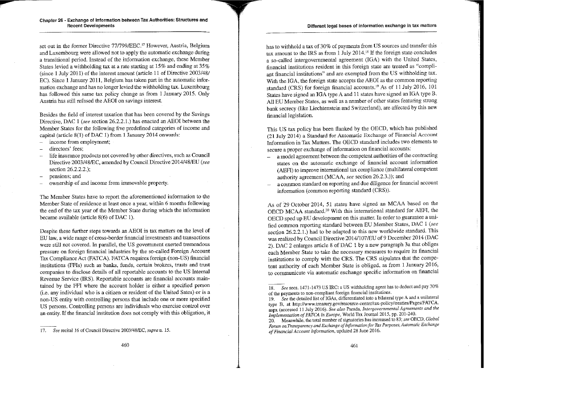set out in the former Directive 77/799/EEC.<sup>17</sup> However, Austria, Belgium and Luxembourg were al1owed not to apply the automatic exchange during a transitional period. Instead of the information exchange, these Member States levied a withholding tax at a rate starting at 15% and ending at 35%  $(since 1 July 2011)$  of the interest amount (article 11 of Directive 2003/48/ EC). Since 1 January 2011, Belgium has taken part in the automatic information exchange and has no longer levied the withholding tax. Luxembourg bas followed this smne tax policy change as from 1 January 2015. Only Austria has still refused the AEOI on savings interest.

Besides the field of interest taxation that has been covered by the Savings Directive, DAC 1 *(see section 26.2.2.1.)* has enacted an AEOI between the Member States for the following five predefined categories of income and capital (article  $8(1)$  of DAC 1) from 1 January 2014 onwards:

- income from employment;
- directors' fees;
- life insurance products not covered by other directives, such as Council Directive 2003/48/EC, mnended by Council Directive 2014/48/EU *(see*  section 26.2.2.2.);
- pensions; and
- ownership of and income from immovable property.

The Member States have to report the aforementioned information to the Member State of residence at least once a year, within 6 months following the end of the tax year of the Member State during which the information became available (article  $8(6)$  of DAC 1).

Despite these further steps towards an AEOI in tax matters on the level of EU law, a wide range of cross-border financial investments and transactions were still not covered. In parallel, the US government exerted tremendous pressure on foreign financial industries by the so-called Foreign Account Tax Compliance Act (FATCA). FATCA requires foreign (non-US) financial institutions (FFis) such as banks, funds, certain brokers, trusts and trust companies to disclose details of all reportable accounts to the US Interna! Revenue Service (IRS). Reportable accounts are financial accounts maintained by the FFI where the account holder is either a specified person (i.e. any individual who is a citizen or resident of the United Sates) or is a non-US entity with controlling persons that include one or more specified US persons. Controlling persons are individuals who exercise control over an entity. If the financial institution does not comply with this obligation, it has to withhold a tax of 30% of payments from US sources and transfer this tax amount to the IRS as from 1 July 2014. 18 If the foreign state concludes a so-called intergovernmental agreement (IGA) with the United States, financial institutions resident in this foreign state are treated as "compliant financial institutions" and are exempted from the US withholding tax. With the IGA, the foreign state accepts the AEOI as the common reporting standard (CRS) for foreign financial accounts.<sup>19</sup> As of 11 July 2016, 101 States have signed an IGA type A and 11 states have signed an IGA type B. All EU Member States, as weil as a number of other states featuring strong bank secrecy (like Liechtenstein and Switzerland), are affected by this new financial legislation.

This US tax policy has been flanked by the OECD, which has published (21 July 2014) a Standard for Automatie Exchange of Financial Account Information in Tax Matters. The OECD standard includes two elements to secure a proper exchange of infonnation on financial accounts:

- a model agreement between the competent authorities of the contracting states on the automatic exchange of financial account information (AEFI) to improve international tax compliance (multilateral competent authority agreement (MCAA, *see* section 26.2.3.)); and
- a common staudard on reporting and due diligence for financial account information (common reporting standard (CRS)).

As of 29 October 2014, 51 states have signed an MCAA based on the OECD MCAA standard.20 With this international standard for AEFI, the OECD sped up EU development on this matter. In order to guarantee a unified common reporting standard between EU Member States, DAC 1 *(see*  section 26.2.2.1.) had to be adapted to this new worldwide standard. This was realized by Council Directive 2014/107/EU of9 December 2014 (DAC 2). DAC 2 enlarges article 8 of DAC l by a new paragraph 3a that obliges each Member State to take the necessary measures to require its financial institutions to comply with the CRS. The CRS stipulates that the competent authority of each Member State is obliged, as from 1 January 2016, to communicate via automatic exchange specific information on financial

<sup>17.</sup> *See* recital 16 of Council Direct:ive 2003/48/EC, *supra* n. 15.

<sup>18.</sup> *See* secs. 1471-1473 US IRC: a US withholding agent has to deduct and pay 30% of the payments to non-compliant foreign financial institutions.

<sup>19.</sup> See the detailed list of IGAs, differentiated into a bilateral type A and a unilateral type B, at http://www.treasury.gov/resource-center/tax-policy/treaties/Pages/FATCA. aspx (accessed 11 July 2016). *See also* Parada, *lntergovernmental Agreements and the Implementation of FATCA in Europe,* World Tax Journal 2015, pp. 201-240.

<sup>20.</sup> Meanwhile, the total number of signatories has increased to 83; *see* OECD, *Global Forum on Transparency and Exchange of Informationfor Tax Purposes, Automatie Exchange of FiMncial Account Information,* updated 28 June 2016.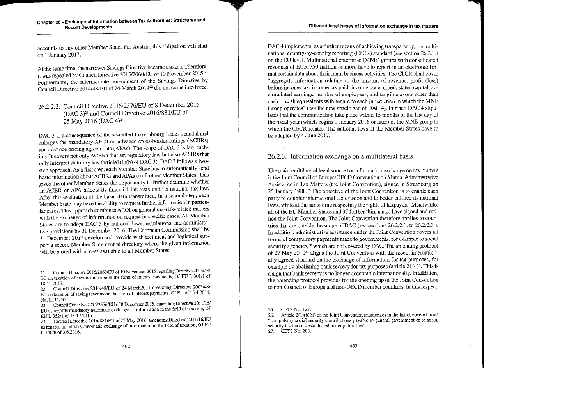accounts to any other Member State. For Austria, this obligation will start on 1 January 2017.

**At the same time, the narrower Savings Directive became useiess. Therefore,**  it was repealed by Council Directive 2015/2060/EU of 10 November 2015.<sup>21</sup> Furthermore, the intermediate amendment of the Savings Directive by Council Directive 2014/48/EU of 24 March 2014<sup>22</sup> did not come into force.

## 26.2.2.3. Council Directive 201512376/EU of 8 December 2015 (DAC 3)23 and Council Directive 20161881/EU of 25 May 2016 (DAC 4)<sup>24</sup>

**DAC 3 is a consequence of the so-called Luxembourg Leaks scandal and**  enlarges the mandatory AEOI on advance cross-border rulings (ACBRs) and advance pricing agreements (APAs). The scope of DAC 3 1s far-reaching. It covers not only ACBRs that set regulatory law but also ACBRs that only interpret statutory law (article1(1)(b) of DAC 3). DAC 3 follows a twostep approach. As a first step, each Member State has to automatically send basic information about ACBRs and APAs to all other Member States. This gives the other Member States the opportunity to further examine whether an ACBR or APA affects its financial interests and its national tax law. After this evaluation of the basic data transmitted, in a second step, each Member State may have the ability to request further information in particular cases. This approach combines AEOI on general tax-risk-related matters with the exchange of information on request in specific cases. All Member States are to adopt DAC 3 by national laws, regulations and administrative provisions by 31 December 2016. The European Commission\_ shall by 31 December 2017 develop and provide with technical and logistical sup**port a secure Member State central directory where the given inforrnation**  will be stored with access available to all Member States.

DAC 4 implements, as a further means of achieving transparency, the multinational country-by-country reporting (CbCR) standard (see section 26.2.3.) on the EU level. Multinational enterprise (MNE) groups with consolidated **revenues of EUR 750 million or more have to report in an electronic for**mal certain data about their main business activities. The CbCR shall cover "aggregate information relating to the amount of revenue, profit (loss) **before income tax, income tax paid, income tax accrued, stated capital, ac**cumulated earnings, number of employees, and tangible assets other than cash or cash equivalents with regard to each inrisdiction in which the MNE Group operates" (see the new article 8aa of DAC 4). Further, DAC 4 stipulates that the communication take place within 15 months of the last day of the fiscal year (which begins  $1$  January 2016 or later) of the MNE group to which the CbCR relates. The national laws of the Member States have to be adapted by 4 June 2017.

#### 26.2.3. Information exchange on a multilateral basis

The main multilateral legal source for information exchange on tax matters is the Joint Council of Europe/OECD Convention on Mutual Administrative Assistance in Tax Matters (the Joint Convention), signed in Strasbourg on 25 January 1988.<sup>25</sup> The objective of the Joint Convention is to enable each **party to counter international tax evasion and to better enforce its national**  laws, while at the same time respecting the rights of taxpayers. Meanwhile, all of the EU Member States and 37 further third states have signed and ratified the Joint Convention. The Joint Convention therefore applies to countries that are outside the scope of DAC (see sections 26.2.2.1. to 26.2.2.3.). **In addition, administrative assistance under the Joint Convention covers all**  forms of compulsory payments made to governments, for exarnple to social security agencies,<sup>26</sup> which are not covered by DAC. The amending protocol of 27 May 201027 aligns the Joint Convention with the recent internationally agreed standard on the exchange of information for tax purposes, for example by abolishing bank secrecy for tax purposes (article  $21(4)$ ). This is a sign that bank secrecy is no longer acceptable internationally. In addition, the amending protocol provides for the opening up of the Joint Convention to non-Council of Europe and non-OECD member countries. In this respect,

**<sup>~</sup>ouncil Directive 2015/2060/EU of 10 November 2015 repealing Directive 2003/48/ EC on taxation of savings income in the form of interest payments, OJ EU L 301/1 of** 

<sup>18.11.2015.&</sup>lt;br>22. Council Directive 2014/48/EU of 24 March2014 amending Directive 2003/48/ **EC on taxation of savings income in the form of interest payments, OJ EU of 15.4.2014,**  No.L111/50.

<sup>23.</sup> Council Directive 2015/2376/EU of 8 December 2015, amending Directive 2011/16/ EU as regards mandatory automatic exchange of information in the field of taxation, OJ EU L 352/1 of 18.12.2015.

**<sup>24.</sup> Council Directive 2016/881/EU of 25 May 2016, amending Directive 2.011/16/EU**  as regards mandatory automatic exchange of information in the field of taxation, OJ EU L 146/8 of 3.6.2016.

<sup>25.</sup> CETS No. 127.

**<sup>26.</sup> Article 2(1)(b)(ii) of the Joint Convention enuroerates in the list of covered taxes "compulsory social security contributions payable to general government or to social security institutions established under public law".**  27. CETS No. 208.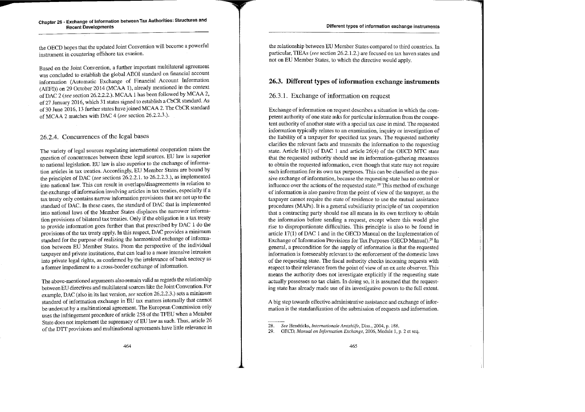the OECD hopes that the updated Joint Convention will become a powerful instrurnent in countering offshore tax evasion.

Based on the Joint Convention, a further important multilateral agreement was concluded to establish the global AEOI standard on financial account information (Automatie Exchange of Financial Account Information (AEFI)) on 29 October 2014 (MCAA l), already mentioned in the context ofDAC 2 *(see* section 26.2.2.2.). MCAA 1 has been followed by MCAA 2, of 27 January 2016, which 31 states signed to establish a CbCR standard. As of 30 June 2016, 13 further states have joined MCAA 2. The CbCR standard of MCAA 2 matches with DAC 4 (see section 26.2.2.3.).

# 26.2.4. Concurrences of the legal bases

The variety of legal sources regulating international cooperation raises the question of concurrences between these legal sources. EU law is superior to national legislation. EU law is also superior to the exchange of mformation articles in tax treaties. Accordingly, EU Member States are bound by the principles of DAC *(see* sections 26.2.2.1. to 26.2.2.3.), as implemented into national law. This can result in overlaps/disagreements in relation to the exchange of information involving articles in tax treaties, especially if a tax treaty only contains narrow information provisions that are not up to the standard of DAC. In these cases, the standard of DAC that is implemented into national laws of the Member States displaces the narrower information provisions of bilateral tax treaties. Only if the obligation in a tax treaty to provide information goes further than that prescribed by DAC 1 do the provisions of the tax treaty apply. In this respect, DAC provides a minimum standard for the purpose of realizing the harmonized exchange of information between EU Member States. From the perspective of the individual taxpayer and private institutions, that can lead to a more intensive intrusion into private legal rights, as confirmed by the irrelevance of bank secrecy as a former impediment to a cross-border exchange of information.

The above-mentioned arguments also remain valid as regards the relationship between EU directives and multilateral sources like the Joint Convention. For example, DAC (also in its last version, *see* section 26.2.2.3.) sets a minimum standard of information exchange in EU tax matters internally that cannot be undercut by a multinational agreement. The European Commission only uses the infringement procedure of article 25 8 of the TFEU when a Member State does not implement the supremacy of EU law as such. Thus, article 26 of the DTT provisions and multinational agreements have little relevance in the relationship between EU Member States compared to third countrics. In particular, TIEAs (see section 26.2.1.2.) are focused on tax haven states and not on EU Member States, to which the directive would apply.

### 26.3. Different types of information exchange instruments

#### 26.3 .1. Exchange of information on regnest

Exchange of information on request describes a situation in which the competent authority of one state asks for particular inforrnation from the competent authority of another state with a special tax case in mind. The requested information typically relates to an examination, inquiry or investigation of the liability of a taxpayer for specified tax years. The requested authority clarifies the relevant facts and transmits the information to the requesting state. Article 18(1) of DAC 1 and article 26(4) of the OECD MTC state that the requested authority should use its information-gathering measures to obtain the requested information, even though that state may not require such information for its own tax purposes. This can be classified as the passive exchange of information, because the requesting state has no control or influence over the actions of the requested state. 28 This method of exchange of information is also passive from the point of view of the taxpayer, as the taxpayer cannot require the state of residence to use the mutual assistance procedures (MAPs). It is a general subsidiarity principle of tax cooperation that a contracting party should nse all means in its own territory to obtain the information before sending a request, except where this would give rise to disproportionate difficulties. This principle is also to be found in article  $17(1)$  of DAC 1 and in the OECD Manual on the Implementation of Exchange of Information Provisions for Tax Purposes (OECD Manual).<sup>29</sup> In general, a precondition for the supply of information is that the requested information is foreseeably relevant to the enforcement of the domestic laws of the requesting state. The fiscal authority checks incoming requests with respect to their relevance from the point of view of an ex ante observer. This means the authority does not investigate explicitly if the requesting state actually possesses no tax claim. In doing so, it is assumed that the requesting state has already made use of its investigative powers to the full extent.

A big step towards effective administrative assistance and exchange of information is the standardization of the submission of requests and information.

<sup>28.</sup> *See* Hendricks, *Internationale Amtshilfe,* Diss., 2004, p. 188.

<sup>29.</sup> OECD, *Manual on lnfomwtion Exchange,* 2006, Module 1, p. 2 et seq.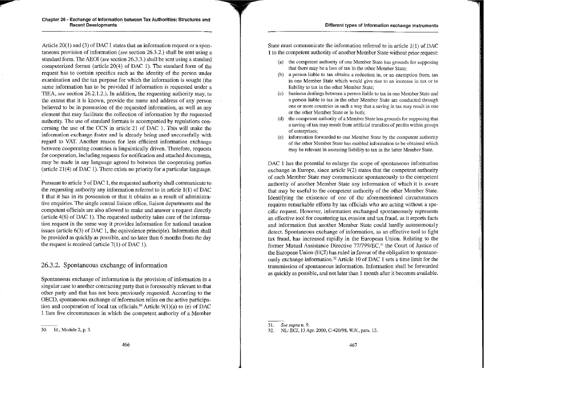F

Article 20(1) and (3) of DAC 1 states that an information request or a spontaneous provision of information (see section 26.3.2.) shall be sent using a standard form. The AEOI *(see* section 26.3.3.) shall be sent using a standard computerized format (article  $20(4)$  of DAC 1). The standard form of the request has to contain specifics such as the identity of the person under examination and the tax purpose for which the information is sought (the same information has to be provided if information is requested under a TIEA, *see* section 26.2.1.2.). In addition, the requesting authority may, to the extent that it is known, provide the narne and address of any person believed to be in possession of the requested information, as weil as any element that may facilitate the collection of information by the requested authority. The use of standard formats is accompanied by regulations concerning the use of the CCN in article 21 of DAC 1. This will make the information exchange faster and is already being used successfully with regard to VAT. Another reason for less efficient information exchange between cooperating countries is linguistically driven. Therefore, requests for cooperation, including requests for notification and attached documents, may be made in any language agreed to between the cooperating parties (article 21(4) of DAC 1). There exists no priority for a particular language.

Pursuant to article 5 of DAC 1, the requested authority shall communicate to the requesting authority any information referred to in article  $1(1)$  of DAC 1 that it has in its possession or that it obtains as a result of administrative enquiries. The single central liaison office, liaison departrnents and the competent officials are also allowed to make and answer a request directly (article  $4(6)$  of DAC 1). The requested authority takes care of the information request in the same way it provides information for national taxation issues (article  $6(3)$  of DAC 1, the equivalence principle). Information shall be provided as quickly as possible, and no later than 6 months from the day the request is received (article  $7(1)$  of DAC 1).

#### 26.3 .2. Spontaneous exchange of information

Spontaneous exchange of information is the provision of information in a singular case to another contracting party that is foreseeably relevant to that other party and that has not been previously requested. According to the OECD, spontaneous exchange of information relies on the active participation and cooperation of local tax officials.<sup>30</sup> Article  $9(1)(a)$  to (e) of DAC 1 lists five circumstances in which the competent authority of a Member State must communicate the information referred to in article 1(1) of DAC 1 to the competent authority of another Member State without prior request:

- (a) the competent authority of onc Mernber State has grounds for supposing that there may be a loss of tax in the other Member State;
- (b) a person liable to tax obtains a reduction in, or an exemption from, tax in one Member State which would give rise to an increase in tax or to liability to tax in the other Member State;
- (c) business dealings between a person liable to tax in one Member State and a person liable to tax in the other Member State are conducted through one or more countries in such a way that a saving in tax rnay result in one or the other Member State or in both;
- the competent authority of a Member State has grounds for supposing that a saving of tax may result from artificial transfcrs of profits within groups of enterprises;
- ( e) information forwarded to one Member State by the competent authority of the other Member State has enabled information tobe obtained which may be relevant in assessing 1iability to tax in the latter Member State.

DAC 1 has the potential to enlarge the scope of spontaneous information exchange in Europe, since article  $9(2)$  states that the competent authority of each Member State may cornmunicate spontaneously to the competent authority of another Member State any information of which it is aware that may be useful to the competent authority of the other Member State. Identifying the existence of one of the aforementioned circumstances requires remarkable efforts by tax officials who are acting without a specific request. However, information exchanged spontaneously represents an effective tool for countering tax evasion and tax fraud, as it reports facts and information that another Member State could hardly autonomously detect. Spontaneous exchange of information, as an effective tool to fight tax fraud, has increased rapidly in the European Union. Relating to the former Mutual Assistance Directive 77/799/EC,<sup>31</sup> the Court of Justice of the European Union (ECJ) has ruled in favour of the obligation to spontaneously exchange information.32 Article 10 of DAC 1 sets a time limit for the transmission of spontaneous inforrnation. Information shall be forwarded as quickly as possible, and not later than 1 month after it becomes available.

<sup>30.</sup> ld., Module 2, p. 3.

<sup>31.</sup> *See supra* n. 9.

<sup>32.</sup> NL: ECJ, 13 Apr. 2000, C-420198, *W.N.,* para. 13.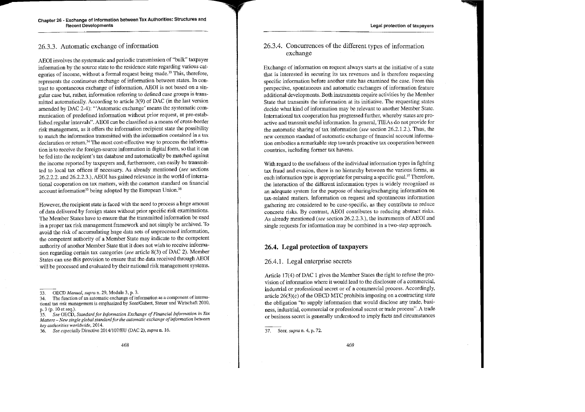#### 26.3.3. Automatie exchange of information

AEOI involves the systematic and periodic transmission of "bulk" taxpayer information by the source state to the residence state regarding various categories of income, without a formal request being made.<sup>33</sup> This, therefore, represents the continuous exchange of information between states. In contrast to spontaneous exchange of information, AEOI is not based on a singular case but, rather, infonnation referring to defined case groups is transmitted automatically. According to article 3(9) of DAC (in the last version amended by DAC 2-4): '"Automatie exchange' means the systernatic communication of predefined information without prior request, at pre-established regular intervals". AEOI can be classified as a means of cross-border risk management, as it offers the information recipient state the possibility to match the infonnation transmitted with the information contained in a tax declaration or return.<sup>34</sup> The most cost-effective way to process the information is to receive the foreign-source information in digital form, so that it can be fed into the recipient's tax database and automatically be matched against the income reported by taxpayers and, furthermore, can easily be transmitted to local tax offices if necessary. As already mentioned *(see* sections 26.2.2.2. and 26.2.2.3.), AEOI has gained relevance in the world of international cooperation on tax matters, with the common standard on financial account information<sup>35</sup> being adopted by the European Union.<sup>36</sup>

However, the recipient state is faced with the need to process a huge amount of data delivered by foreign states without prior specific risk examinations. The Member States have to ensure that the transmitted information be used in a proper tax risk management framework and not simply be archived. To avoid the risk of accumulating huge data sets of unprocessed information, the competent authority of a Member State may indicate to the competent authority of another Member State that it does not wish to receive information regarding certain tax categories (see article 8(3) of DAC 2). Member States can use this provision to ensure that the data received through AEOI will be processed and evaluated by their national risk management systems.

35. *See* OECD, *Standardfor Information Exchange of Financial Information in Tax Matters – New single global standard for the automatic exchange of information between key authorities worldwide,* 2014.

#### 26.3.4. Concurrences of the different types of information exchange

Exchange of information on request always starts at the initiative of a state that is interested in securing its tax revenues and is therefore requesting specific information before another state has examined the case. From this perspective, spontaneous and automatic exchanges of information feature additional developments. Both instruments require activities by the Member State that transmits the information at its initiative. The requesting states decide what kind of information may be relevant to another Member State. International tax cooperation has progressed further, whereby states are proactive and transmit useful infonnation. In general, TIEAs da not provide for the automatic sharing of tax information (see section  $26.2.1.2$ .). Thus, the new common standard of automatic exchange of financial account information embodies a remarkable step towards proactive tax cooperation between countries, including former tax havens.

Witb regard to the usefulness of the individual information types in fighting tax fraud and evasion, there is no hierarchy between the various forms, as each information type is appropriate for pursuing a specific goal.<sup>37</sup> Therefore, the interaction of the different information types is widely recognized as an adequate system for the purpose of sharing/exchanging information on tax-related matters. Information an request and spontaneous information gathering are considered to be case-specific, as they contribute to reduce concrete risks. By contrast, AEOI contributes to reducing abstract risks. As already mentioned *(see* section 26.2.2.3.), the instruments of AEOI and single requests for information may be combined in a two-step approach.

#### **26.4. Legal protection of taxpayers**

#### 26.4.1. Legal enterprise secrets

Article 17(4) of DAC 1 gives the Member States the right to refuse the provision of information where it would lead to the disclosure of a commercial, industrial or professional secret or of a commercial process. Accordingly, article  $26(3)(c)$  of the OECD MTC prohibits imposing on a contracting state the obligation "to supply information that would disclose any trade, business, industrial, commercial or professional secret or trade process". A trade or business secret is generally understood to imply facts and circumstances

<sup>33.</sup> OECD *Manual, supra* n. 29, Module 3, p. 3.

<sup>34.</sup> The function of an automatic exchange of information as a component of intema~ tional tax risk management is emphasized by Seer/Gabert, Steuer und Wirtschaft 2010, p. 3 (p. 10 et seq.).

<sup>36.</sup> *See especially* Directive 2014/107/EU (DAC 2), *supra* n. 16.

<sup>37.</sup> Seer, *supra* n. 4, p. 72.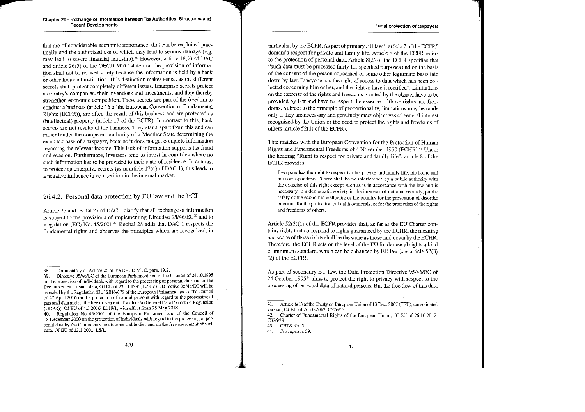that are of considerable economic importance, that can be exploited practically and the authorized use of which may lead to serious damage (e.g. may lead to severe financial hardship).<sup>38</sup> However, article 18(2) of DAC and article  $26(5)$  of the OECD MTC state that the provision of information shall not be refused solely because the information is held by a bank or other financial institution. This distinction makes sense, as the different secrets shall protect completely different issues. Enterprise secrets protect a country's companies, their inventions aud investrnents, aud they thereby strengthen economic competition. These secrets are part of the freedom to conduct a business (article 16 of the European Convention of Fundamental Rights (ECFR)), are often the result of this business aud are protected as (intellectual) property (article 17 of the ECFR). In contrast to this, bank secrets are not results of the business. They stand apart from this and can rather hinder the competent authority of a Mernber State determining the exact tax base of a taxpayer, because it does not get cornplete inforrnation regarding the relevant income. This lack of information supports lax fraud and evasion. Furthermore, investors tend to invest in countries where no such information has to be provided to their state of residence. In contrast to protecting enterprise secrets (as in article  $17(4)$  of DAC 1), this leads to a negative influence in competition in the internal market.

### 26.4.2. Personal data protection by EU law and the ECJ

Article 25 and recital 27 of DAC 1 clarify that all exchange of information is subject to the provisions of implementing Directive  $95/46/EC^{39}$  and to Regulation (EC) No. 45/2001.40 Recital 28 adds that DAC 1 respects the fundamental rights and observes the principles which are recognized, in

particular, by the ECFR. As part of primary EU law, $41$  article 7 of the ECFR $42$ demands respect for private and family life. Article 8 of the ECFR refers to the protection of personal data. Article 8(2) of the ECFR specifies that "such data must be processed fairly for specified purposes and on the basis of the consent of the person concerned or sorne other legitirnate basis laid down by law. Everyone has the right of access to data which has been collected concerning him or her, and the right to have it rectified". Limitations on the exercise of the rights aud freedoms grauted by the charter have to be provided by law and have to respect the essence of those rights and freedoms. Subject to the principle of proportionality, limitations may be made only if they are necessary and genuinely meet objectives of general interest recognized by the Union or the need to protect the rights and freedoms of others (article  $52(1)$  of the ECFR).

This matches with the European Convention for the Protection of Human Rights and Fundamental Freedoms of 4 November 1950 (ECHR).<sup>43</sup> Under the heading "Right to respect for private and family life", article 8 of the **ECHR** provides:

Everyone has the right to respect for his private and family life, his horne and bis correspondence. There shall be no interference by a public authority with the exercise of this right except such as is in accordance with the law and is necessary in a democratic society in the interests of national security, public safety or the economic wellbeing of the country for the prcvention of disorder or crime, for the protection of health or morals, or for the protection of the rights and freedorns of others.

Article 52(3)(1) of the ECFR provides that, as far as the EU Charter contains rights that correspond to rights guaranteed by the ECHR, the meaning and scope of those rights shall be the same as those laid down by the ECHR. Therefore, the ECHR sets on the level of the EU fundamental rights a kind of minimum standard, which cau be enhanced by EU law *(see* article 52(3) (2) of the ECFR).

As part of secondary EU law, the Data Protection Directive 95/46/EC of 24 October 199544 aims to protect the right to privacy with respect to the processing of personal data of natural persons. But the free flow of this data

<sup>38.</sup> Commentary on Article 26 of the OECD MTC, para. 19.2.

<sup>39.</sup> Directive 95/46/EC of the European Parliament and of the Council of 24.10.1995 on the protection of individuals with regard to the processing of personal data and on the free movement of such data, OJ EU of 23.11.1995, L281/31. Directive 95/46/EC will be repealed by the Regulation (EU) 2016/679 of the European Parliament and of the Council of 27 April 2016 on the protection of natural persons with regard to the processing of personal data and on the free movement of such data (General Data Protection Regulation  $(GDPR)$ ). OJ EU of 4.5.2016, L119/1, with effect from 25 May 2018.

<sup>40.</sup> Regulation No. 45/2001 of the European Parliament and of the Council of 18 December 2000 on the protection of individuals with regard to the processing of per~ sonal data by the Community institutions and bodies and on the free movement of such data, OJ EU of 12.1.2001, L8/1.

<sup>41.</sup> Article 6(1) of the Treaty on European Union of 13 Dec. 2007 (TEU), consolidated version, OJ EU of 26.10.2012, C326/13.

<sup>42.</sup> Charter of Fundamental Rights of the European Union, OJ EU of 26.10.2012, C326/39I.

<sup>43.</sup> CETS No. 5.

<sup>44.</sup> *See supra* n. 39.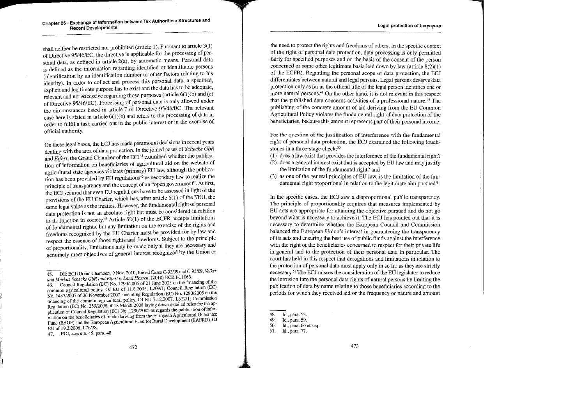.. ------------~

shall neither be restricted nor prohibited (article 1). Pursuant to article 3(1) of Directive 95/46/EC, the directive is applicable for the processing of personal data, as defined in article 2(a), by automatic means. Personal data is detined as the information regarding identified or identifiable persons (identification by an identification number or other factors relating to his identity). In order to collect and process this personal data, a specified, explicit and legitimate purpose has to exist and the data has tobe adequate, relevant and not excessive regarding those purposes (article 6(l)(b) and (c) of Directive 95/46/EC). Processing of personal data is only allowed under the circumstances !isted in article 7 of Directive 95/46/EC. The relevant case here is stated in article  $6(1)(e)$  and refers to the processing of data in order to fulfil a task carried out in the public interest or in the exercise of official authority.

On these legal bases, the ECJ has made paramount decisions in recent years dealing with the area of data protection. In the joined cases of *Schecke GbR*  and *Eifert*, the Grand Chamber of the ECJ<sup>45</sup> examined whether the publication of information on beneficiaries of agricultural aid on the website of agricultural state agencies violates (primary) EU law, although the publication has been provided by EU regulations<sup>46</sup> as secondary law to realize the principle of transparency and the concept of an "open govemment". At first, the ECJ secured that even EU regulations have to be assessed in light of the provisions of the EU Charter, which has, after article 6(1) of the TEU, the same legal value as the treaties. However, the fundamental right of personal data protection is not an absolute right but must be considered in relation to its function in society.<sup>47</sup> Article 52(1) of the ECFR accepts limitations of fundamental rights, but any limitation on the exercise of the rights and freedoms recognized by the EU Charter must be provided for by law and respect the essence of those rights and freedoms. Subject to the principle of proportionality, limitations may be made only if they are necessary and genuinely meet objectives of general interest recognized by the Union or

46. Council Regulation (EC) No. 1290/2005 of 21 June 2005 on the financing of the common agricultural policy, OJ EU of 11.8.2005, L209/1; Council Regulation (EC) No. 1437/2007 of 26 November 2007 amending Regulation (EC) No. 1290/2005 on the financing of the common agricultural policy, OJ EU 7.12.2007, L322/1; Commission Regulation (EC) No. 259/2008 of 18 March 2008 laying down detailed rules for the application of Council Regulation (EC) No. 1290/2005 as regards the publication of infor**mation on the beneficiaries of funds deriving from the European Agncultural Guarantee Fund (EAGF) and the European Agricultural Fund for Rural Development (EAFRD), OJ**  EU of 19.3.2008, L76/28.

the need to protect the rights and freedoms of otbers. In the specific context of the right of personal data protection, data processing is only permitted fairly for specified purposes and on the basis of the consent of the person concemed or some other legitimate basis laid down by law (article 8(2)(1) of the ECFR). Regarding the personal scope of data protection, the ECJ differentiales between natural and legal persons. Legal persons deserve data protection only as far as the official title of the legal person identifies one or **more natural persons.48 On the other hand, it is not relevant in this respect**  that the published data concerns activities of a professional nature.<sup>49</sup> The publishing of the concrete amount of aid deriving from the EU Common Agricultural Policy violates the fundamental right of data protection of the **beneficiaries, because this amount represents part of their personal income.** 

**For the question of the justification of interference with the fundamental**  right of personal data protection, the ECJ examined the following touch**stones in a three-stage check:50** 

- (1) does a law exist that provides the interference of the fundamental right?
- (2) does a general interest exist that is accepted by EU law and may justify the limitation of the fundamental right? and
- (3) as one of the general principles of EU law, is the limitation of the fundamental right proportional in relation to the legitimate aim pursued?

In the specific cases, the ECJ saw a disproportional public transparency. The principle of proportionality requires that measures implemented by EU acts are appropriate for attaining the objective pursued and do not go beyond what is necessary to achieve it. The ECJ has pointed out that it is **necessary to determine whether the European Council and Commission**  balanced the European Union's interest in guaranteeing the transparency **of its acts and ensuring the best use of public funds against the interference**  with the right of the beneficiaries concerned to respect for their private life in general and to the protection of their personal data in particular. The court has held in this respect that derogations and limitations in relation to the protection of personal data must apply only in so far as they are strictly necessary. 51 The ECJ misses the consideration of the EU legislator to reduce the intrusion into the personal data rights of natural persons by limiting the publication of data by narne relating to those beneficiaries according to the **periods for which they received aid or the frequency or nature and amount** 

<sup>45.</sup> DE: ECJ (Grand Chamber), 9 Nov. 2010, Joined Cases C-92/09 and C-93/09, *Volker und Markus Schecke GbR and Eifert v. La.nd Hessen,* **(2010) ECR I-11063.** .

**<sup>47.</sup> ECJ,** *supra* **n. 45, para. 48.** 

<sup>48.</sup> Id., para. 53.

<sup>49.</sup> Id., para. 59.

<sup>50.</sup> ld., para. 66 et seq.

<sup>51.</sup> ld., para. 77.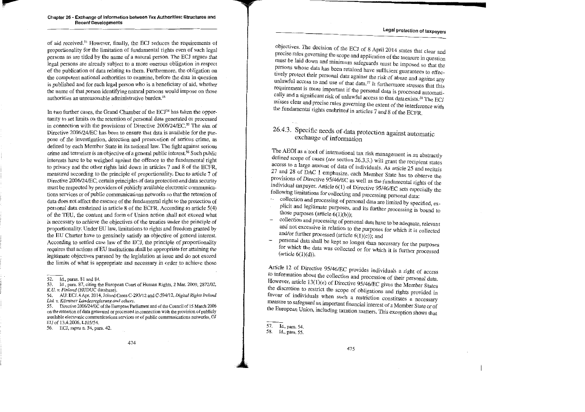#### **Legal protection of taxpayers**

of aid received.52 However, finally, the ECJ reduces the requirements of proportionality for the limitation of fundamental rights even of such legal persons as are titled by the name of a natural person. The ECJ argues that legal persons are already subject to a more onerous obligation in respect of the publication of data relating to them. Furthermore, the obligation on the competent national authorities to examine, before the data in question is published and for each legal person who is a beneficiary of aid, whether the name of that person identifying natural persons would impose on those authorities an unreasonable administrative burden.<sup>53</sup>

In two further cases, the Grand Chamber of the ECJ<sup>54</sup> has taken the opportunity to set limits on the retention of personal data generated or processed in connection with the provisions of Directive 2006/24/EC.<sup>55</sup> The aim of Directive 2006/24/EC has been to ensure that data is available for the pur**pose of the investigation, detection and prosecution of serious crime, as**  defined by each Member State in its national law. The fight against serious crime and terrorism is an objective of a general public interest.56 Such public interests have to be weighed against the offence to the fundamental right to privacy and the other rights laid down in articles 7 and 8 of the ECFR, measured according to the principle of proportionality, Due to article 7 of Directive 2006/24/EC, certain principles of data protection and data security must be respected by providers of publicly available electronic communica**tions services or of public communications networks so that the retention of**  data does not affect the essence of the fundamental right to the protection of personal data ensbrined in article 8 of the ECFR. According to article 5( 4) of the TEU, the content and form of Union action shall not exceed what is necessary to achieve the objectives of the treaties under the principle of proportionality. Under EU law, limitations to rights and freedom granted by the EU Charter have to genuinely satisfy an objective of general interest. According to settled case law of the ECJ, the principle of proportionality requires that actions of EU institutions shall be appropriate for attaining the legitimate objectives pursued by the legislation at issue and do not exceed the limits of what is appropriate and necessary in order to achieve those

53. **Id., para. 87, citing the European Court of Human Rights, 2 Mar. 2009, 2872/02,**  *K.U. v. Finland* **(HUDUC database).** 

**55. Directive 2006/24JEC of the European Parliarnent and of the Council of 15 March 2006**  on the retention of data generated or processed in connection with the provision of publicly **available electronic communications services or of public communications networks, OJ**  EU of 13.4.2006, L105/54.

**56. ECJ,** *supra* **n. 54, para. 42.** 

objectives. The decision of the ECJ of 8 April 2014 states that clear and precise rules governing the scope and application of the measure in question must be laid down and minimum safeguards must be imposed so that the persons whose data has been retained have sufficient guarantees to effectively protect their personal data against the risk of abuse and against any unlawful access to and use of that data.<sup>57</sup> It furthermore stresses that this **Examplement** is more important if the personal data is processed automatically and a significant risk of unlawful access to that data exists.<sup>58</sup> The ECJ misses clear and precise rules governing the extent of the interference with the fundamental rights enshrined in articles 7 and 8 of the ECFR.

# 26.4.3. Specific needs of data protection against automatic exchange of information

The AEOI as a tool of international tax risk management in an abstractly defined scope of cases (see section 26.3.3.) will grant the recipient states access to a large amount of data of individuals. As article 25 and recitals 27 and 28 of DAC 1 emphasize, each Member State has to observe the provisions of Directive  $95/46/EC$  as well as the fundamental rights of the individual taxpayer. Article  $6(1)$  of Directive 95/46/EC sets especially the following limitations for collecting and processing personal data:

- collection and processing of personal data are limited by specified, explicit and legitimate purposes, and its further processing is bound to those purposes (article  $6(1)(b)$ );
- collection and proc\_essing of personal data have tobe adequate, relevant and not excessive in relation to the purposes for which it is collected and/or further processed (article  $6(1)(c)$ ); and
- personal data shall be kept no longer than necessary for the purposes for which the data was collected or for which it is further processed (article  $6(1)(d)$ ).

Article 12 of Directive 95/46/EC provides individuals a right of access to information about the collection and procession of their personal data. However, article 13(1)(e) of Directive 95/46/EC gives the Member States the discretion to restrict the scope of obligations and rights provided in favour of individuals when such a restriction constitutes a necessary measure to safeguard an important financial interest of a Member State or of the European Union, including taxation matters. This exception shows that

<sup>52.</sup> Id., paras. 81 and 84.

<sup>54.</sup> AU: ECJ, 8 Apr. 2014, Joined Cases C-293/12 and C-594/12, *Digital Rights lreland*  Ltd. v. Kärntner Landesregierung and others.

<sup>57.</sup> Id., para. 54. 58. ld., para. 55.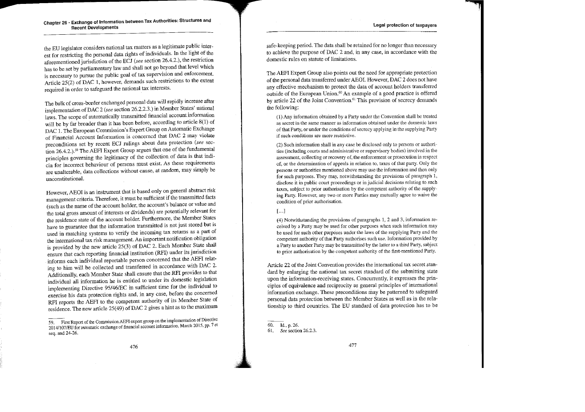the EU legislator considers national tax matters as a legitimate public interest for restricting the personal data rights of individuals. In the light of the aforementioned jurisdiction of the ECJ (see section 26.4.2.), the restriction has to be set by parliamentary law and shall not go beyond that level which is necessary to pursue the public goal of tax supervision and enforcement. Article 25(2) of DAC 1, however, demands such restrictions to the extent required in order to safeguard the national tax interests.

The bulk of cross-border exchanged personal data will rapidly increase after implementation ofDAC 2 *(see* section 26.2.2.3.) in Member States' national laws. The scope of automatically transmitted financial account information will be by far broader than it has been before, according to article 8(1) of DAC 1. The European Commission's Expert Group on Automatie Exchange of Financial Account Information is concerncd that DAC 2 1nay violate preconditions set by recent ECJ rulings abont data protection *(see* section 26.4.2.).<sup>59</sup> The AEFI Expert Group argues that one of the fundamental principles governing the legitimacy of the collection of data is that indicia for incorrect behaviour of persons rnust exist. As these requirements are unalterable, data collections withont cause, at random, may simply be unconstitutional.

However, AEOI is an instrument that is based only on general abstract risk management criteria. Therefore, it must be sufficient ü the transmitted facts (such as the name of the account holder, the account's balance or value and the total gross amount of interests or dividends) are potentiaJly relevant for the residence state of the account holder, Furthermore, the Member States have to guarantee that the information transmitted is not just stored but is used in matching systems to verify the incoming tax returns as a part of the international tax risk management. An important uotification obligation is provided by the new article 25(3) of DAC 2. Bach Member State shall ensure that each reporting financial institution (RFI) under its jurisdiction informs each individual reportable person concerned that the AEFI relating to him will be collected and transferred in accordance with DAC 2. Additionally, each Member State shall ensure that the RFI provides to that individual all information he is entitled to under its domestic legislation implementing Directive 95/46/EC in sufficient time for the individual to exercise his data protection rights and, in any case, before the concerned RFI reports the AEFI to the competent authority of its Member State of residence. The new article  $25(49)$  of DAC 2 gives a hint as to the maximum

safe-keeping period. The data shall be retained for no longer than necessary to achieve the purpose of DAC 2 and, in any case, in accordance with the domestic rules on statute of limitations.

The AEFI Expert Group also points out the need for appropriate protection of the personal data transferred under AEOL However, DAC 2 does not have any effective mechanism to protect the data of account holders transferred outside of the European Union.60 An example of a good practice is offered by article 22 of the Joint Convention.<sup>61</sup> This provision of secrecy demands the following:

(1) Any infonnation obtained by a Party under the Convention shall be treated as secret in lhe same manner as information obtained under the domestic laws of that Party. or under the conditions of secrecy applying in the supplying Party if such conditions are more restrictive.

(2) Such inforrnation shall in any case be disclosed only to persons or authorities (including courts and administrative or supervisory bodies) involved jn the assessment, collecting or recovery of, the enforcement or prosecution in respect of, or the determination of appea1s in relation to, taxes of that party. Only the persons or authorities mentioned above may use the information and then only for such purposes. They may, notwithstanding the provisions of paragraph 1, disclose it in public court proceedings or in judicial decisions relating to such taxes, subject to prior authorisation by the competent authority of the supplying Party. Howcver, any two or more Parties may mutually agree to waive the condition of prior authorisation.

#### $\left[ \ldots \right]$

(4) Notwithstanding the provisions of paragraphs 1, 2 and 3, information received by a Party may be used for other purposes when such information may be used for such other purposes under the laws of the supplying Party and the competent authority of that Party authorises such use. Information provided by a Party to another Party may be transmitted by the latter to a third Party, subject to prior authorisation by the competent authority of the first-mentioned Party.

Article 22 of the Joint Convention provides the international tax secret standard by enlarging the national tax secret standard of the submitting state upon the information-receiving states. Concurrently, it expresses the principles of equivalence and reciprocity as general principles of international information exchange. These preconditions may be patterned to safeguard personal data protection between the Member States as well as in the relationship to third countries. The EU standard of data protection has to be

<sup>59.</sup> First Report of the Commission AEF1 expert group on the implementation of Directive 2014/107/EU for automatic exchange of financial account information, March 2015, pp. 7 et seq. and 24-26.

<sup>60.</sup> Id., p. 26.

<sup>61.</sup> *See* section 26.2.3.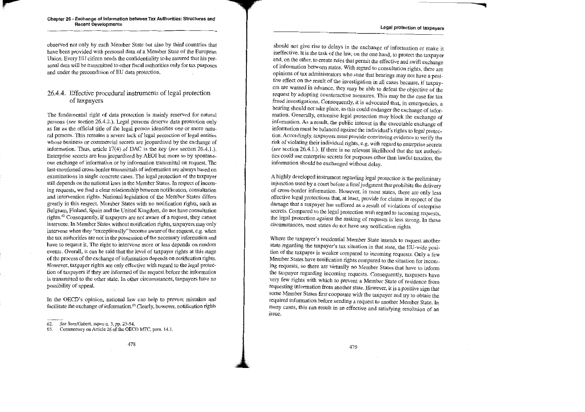#### **Legal protection of taxpayers**

#### **Chapter 26 - Exchange of Information between Tax Authorities: Structures and Recent Developments**

observed not only by each Member State but also by third countries that have been provided with personal data of a Member State of the European Union. Every EU citizen needs the confidentiality tobe assured that his personal data will be transmitted to other fiscal authorities only for tax purposes and under the precondition of EU data protection.

### 26.4.4. Effective procedural instruments of legal protection of taxpayers

The fundamental right of data protection is mainly reserved for natural persons (see section 26.4.2.). Legal persons deserve data protection only as far as the official title of the legal person identifies one or more natu**ral persons. This remains a severe lack of legal protection of legal entities**  whose business or commercial secrets are jeopardized by the exchange of information. Thus, article 17(4) of DAC is the key *(see* section 26.4.1.). Enterprise secrets are less jeopardized by AEOI but more so by spontaneous exchange of information or by information transmittal on request. The **last-mentioned cross-border transmittals of information are always based on examinations in single concrete cases. The legal protection of the taxpayer**  still depends on the national laws in the Member States. In respect of incom**ing requests, we find a clear relationship between notification, consultation**  and intervention rights. National legislation of the Member States differs greatly in this respect. Member States with no notification rights, such as Belgium, Finland, Spain and the United Kingdom, do not have consultation rights.62 ConsequentJy, if taxpayers are not aware of a request, they cannot intervene. In Member States without notification rights, taxpayers may only intervene when they "exceptionally" become aware of the request, e.g. when **the tax authorities are not in the possession of the necessary information and**  have to request it. The right to intervene more or less depends on random events. Overall, it can be said that the level of taxpayer rights at this stage of the process of the exchange of information depends on notification rights. However, taxpayer rights are only effective with regard to the legal protection of taxpayers if they are informed of the request before the information **is transmitted to the other state. In other circumstances, taxpayers have no**  possibility of appeal.

In the OECD's opinion, national law can help to prevent mistakes and facilitate the exchange of information.<sup>63</sup> Clearly, however, notification rights

should not give rise to delays in the exchange of information or make it ineffective. lt is the task of the law, on the one hand, to protect the taxpayer and, on the other, to create rules that permit the effective and swift exchange of information between states. With regard to consultation rights, there are opinions of tax administrators who state that hearings may not have a positive effect on the result of the investigation in all cases because, if taxpayers are warned in advance, they may be able to defeat the objective of the request by adopting counteractive measures. This may be the case for tax fraud investigations. Consequently, it is advocated that, in emergencies, a hearing should not take place, as this could endanger the exchange of information. Generally, extensive legal protection may block the exchange of infonnation. As a result, the public interest in the executable exchange of information must be balanced against the individual's rights to legal protec**tion. Accordingly, taxpayers must provide convincing evidence to verify the**  risk of violating their individual rights, e.g. with regard to enterprise secrets (see section 26.4.1.). If there is no relevant likelihood that the tax authorities could use enterprise secrets for purposes other than lawful taxation, the information should be exchanged witbout delay.

A highly developed instrument regarding legal protection is the preliminary injunction used by a court before a final judgment that prohibits the delivery **of cross-border information. However, in most states, there are only less**  effective legal protections that, at least, provide for claims in respect of the daniage that a taxpayer has suffered as a result of violations of enterprise secrets. Compared to the legal protection with regard to incoming requests, the legal protection against the making of requests is less strong. In these **circumstances, most states do not have any notification rights.** 

Where the taxpayer's residential Member State intends to request another state regarding the taxpayer's tax situation in that state, the EU-wide position of the taxpayer is weaker compared to incoming requests. Only a few Member States have notification rights compared to the situation for incoming requests, so there are virtually no Member States that have to inform the taxpayer regarding incoming requests. Consequently, taxpayers have very few rights with which to prevent a Member State of residence from requesting information from another state. However, it is a positive sign that some Member States first cooperate with the taxpayer and try to obtain the required information before sending a request to another Member State. In **many cases, this can result in an effective and satisfying resolution of an issue.** 

**<sup>62.</sup>** *See* **Seer/Gabert,** *supra* **n. 3, pp. 23-54.** 

**<sup>63.</sup> Cormnentary on Article 26 of the OECD MTC, para. 14.1.**